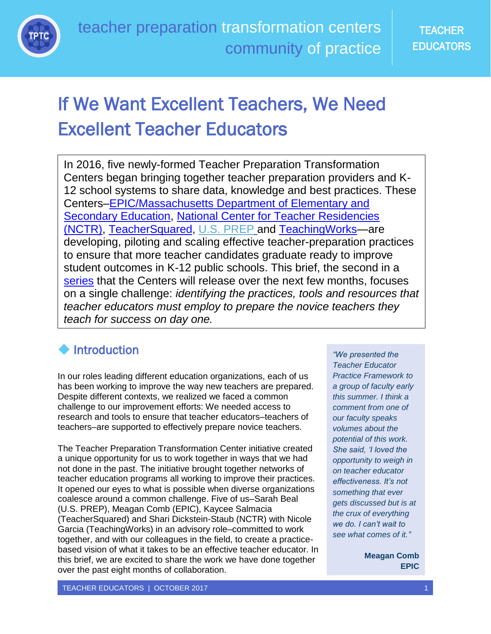

# If We Want Excellent Teachers, We Need Excellent Teacher Educators

In 2016, five newly-formed Teacher Preparation Transformation Centers began bringing together teacher preparation providers and K-12 school systems to share data, knowledge and best practices. These Centers[–EPIC/Massachusetts Department of Elementary and](https://www.google.com/url?sa=t&rct=j&q=&esrc=s&source=web&cd=1&cad=rja&uact=8&ved=0ahUKEwjIp6PstO7WAhWGKCYKHb9SBVAQFggwMAA&url=http%3A%2F%2Fwww.doe.mass.edu%2Fedprep%2FEPIC%2F&usg=AOvVaw2B89bOCBP-2vQI0iG14G-f)  [Secondary Education,](https://www.google.com/url?sa=t&rct=j&q=&esrc=s&source=web&cd=1&cad=rja&uact=8&ved=0ahUKEwjIp6PstO7WAhWGKCYKHb9SBVAQFggwMAA&url=http%3A%2F%2Fwww.doe.mass.edu%2Fedprep%2FEPIC%2F&usg=AOvVaw2B89bOCBP-2vQI0iG14G-f) [National Center for Teacher](https://www.google.com/url?sa=t&rct=j&q=&esrc=s&source=web&cd=4&cad=rja&uact=8&ved=0ahUKEwj4ycCHte7WAhUFOSYKHScwCFQQFghCMAM&url=https%3A%2F%2Fnctresidencies.org%2F&usg=AOvVaw3vqz3b3lrm3AGkS65I8vRl) Residencies [\(NCTR\),](https://www.google.com/url?sa=t&rct=j&q=&esrc=s&source=web&cd=4&cad=rja&uact=8&ved=0ahUKEwj4ycCHte7WAhUFOSYKHScwCFQQFghCMAM&url=https%3A%2F%2Fnctresidencies.org%2F&usg=AOvVaw3vqz3b3lrm3AGkS65I8vRl) [TeacherSquared,](https://www.google.com/url?sa=t&rct=j&q=&esrc=s&source=web&cd=1&cad=rja&uact=8&ved=0ahUKEwjtnt_2tO7WAhXI7CYKHUb9ASAQFggoMAA&url=https%3A%2F%2Fwww.teachersquared.org%2F&usg=AOvVaw3Lq481Gk32ypCauJmJ62GC) [U.S. PREP](https://www.google.com/url?sa=t&rct=j&q=&esrc=s&source=web&cd=1&cad=rja&uact=8&ved=0ahUKEwiT0c3itO7WAhXL5SYKHcklCU8QFggoMAA&url=http%3A%2F%2Fwww.usprepnationalcenter.com%2F&usg=AOvVaw36GWxMwwecy-O2DQ0gFz-Y) and [TeachingWorks—](https://www.google.com/url?sa=t&rct=j&q=&esrc=s&source=web&cd=1&cad=rja&uact=8&ved=0ahUKEwjBp_2ate7WAhWB1CYKHUPJD0gQFggoMAA&url=http%3A%2F%2Fwww.teachingworks.org%2F&usg=AOvVaw0gIYdtX8Cn9GZiyx-XVepX)are developing, piloting and scaling effective teacher-preparation practices to ensure that more teacher candidates graduate ready to improve student outcomes in K-12 public schools. This brief, the second in a [series](http://education-first.com/library/publication/teacher-preparation-transformation-centers-learning-series-introduction/) that the Centers will release over the next few months, focuses on a single challenge: *identifying the practices, tools and resources that teacher educators must employ to prepare the novice teachers they teach for success on day one.*

## **Introduction**

In our roles leading different education organizations, each of us has been working to improve the way new teachers are prepared. Despite different contexts, we realized we faced a common challenge to our improvement efforts: We needed access to research and tools to ensure that teacher educators–teachers of teachers–are supported to effectively prepare novice teachers.

The Teacher Preparation Transformation Center initiative created a unique opportunity for us to work together in ways that we had not done in the past. The initiative brought together networks of teacher education programs all working to improve their practices. It opened our eyes to what is possible when diverse organizations coalesce around a common challenge. Five of us–Sarah Beal (U.S. PREP), Meagan Comb (EPIC), Kaycee Salmacia (TeacherSquared) and Shari Dickstein-Staub (NCTR) with Nicole Garcia (TeachingWorks) in an advisory role–committed to work together, and with our colleagues in the field, to create a practicebased vision of what it takes to be an effective teacher educator. In this brief, we are excited to share the work we have done together over the past eight months of collaboration.

*"We presented the Teacher Educator Practice Framework to a group of faculty early this summer. I think a comment from one of our faculty speaks volumes about the potential of this work. She said, 'I loved the opportunity to weigh in on teacher educator effectiveness. It's not something that ever gets discussed but is at the crux of everything we do. I can't wait to see what comes of it."*

> **Meagan Comb EPIC**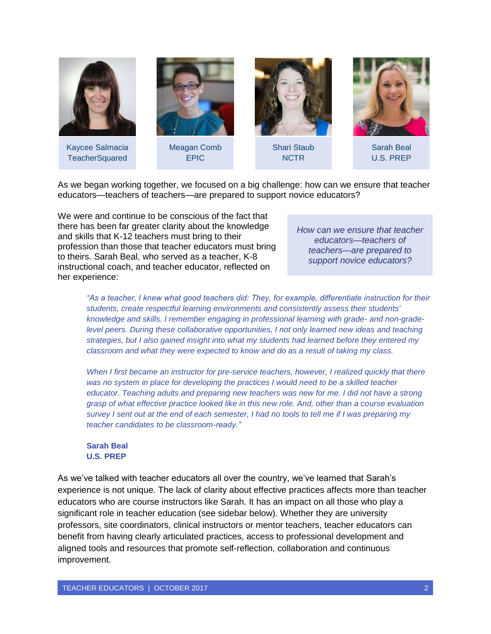

As we began working together, we focused on a big challenge: how can we ensure that teacher educators—teachers of teachers—are prepared to support novice educators?

We were and continue to be conscious of the fact that there has been far greater clarity about the knowledge and skills that K-12 teachers must bring to their profession than those that teacher educators must bring to theirs. Sarah Beal, who served as a teacher, K-8 instructional coach, and teacher educator, reflected on her experience:

*How can we ensure that teacher educators—teachers of teachers—are prepared to support novice educators?*

*"As a teacher, I knew what good teachers did: They, for example, differentiate instruction for their students, create respectful learning environments and consistently assess their students' knowledge and skills. I remember engaging in professional learning with grade- and non-gradelevel peers. During these collaborative opportunities, I not only learned new ideas and teaching strategies, but I also gained insight into what my students had learned before they entered my classroom and what they were expected to know and do as a result of taking my class.*

*When I first became an instructor for pre-service teachers, however, I realized quickly that there*  was no system in place for developing the practices I would need to be a skilled teacher *educator. Teaching adults and preparing new teachers was new for me. I did not have a strong grasp of what effective practice looked like in this new role. And, other than a course evaluation survey I sent out at the end of each semester, I had no tools to tell me if I was preparing my teacher candidates to be classroom-ready."*

#### **Sarah Beal U.S. PREP**

As we've talked with teacher educators all over the country, we've learned that Sarah's experience is not unique. The lack of clarity about effective practices affects more than teacher educators who are course instructors like Sarah. It has an impact on all those who play a significant role in teacher education (see sidebar below). Whether they are university professors, site coordinators, clinical instructors or mentor teachers, teacher educators can benefit from having clearly articulated practices, access to professional development and aligned tools and resources that promote self-reflection, collaboration and continuous improvement.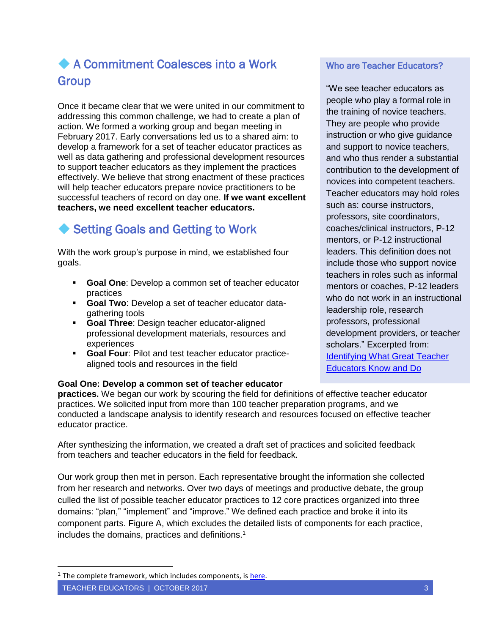### A Commitment Coalesces into a Work Group

Once it became clear that we were united in our commitment to addressing this common challenge, we had to create a plan of action. We formed a working group and began meeting in February 2017. Early conversations led us to a shared aim: to develop a framework for a set of teacher educator practices as well as data gathering and professional development resources to support teacher educators as they implement the practices effectively. We believe that strong enactment of these practices will help teacher educators prepare novice practitioners to be successful teachers of record on day one. **If we want excellent teachers, we need excellent teacher educators.**

### ◆ Setting Goals and Getting to Work

With the work group's purpose in mind, we established four goals.

- **Goal One**: Develop a common set of teacher educator practices
- **Goal Two**: Develop a set of teacher educator datagathering tools
- **Goal Three**: Design teacher educator-aligned professional development materials, resources and experiences
- **Goal Four**: Pilot and test teacher educator practicealigned tools and resources in the field

#### **Goal One: Develop a common set of teacher educator**

**practices.** We began our work by scouring the field for definitions of effective teacher educator practices. We solicited input from more than 100 teacher preparation programs, and we conducted a landscape analysis to identify research and resources focused on effective teacher educator practice.

After synthesizing the information, we created a draft set of practices and solicited feedback from teachers and teacher educators in the field for feedback.

Our work group then met in person. Each representative brought the information she collected from her research and networks. Over two days of meetings and productive debate, the group culled the list of possible teacher educator practices to 12 core practices organized into three domains: "plan," "implement" and "improve." We defined each practice and broke it into its component parts. Figure A, which excludes the detailed lists of components for each practice, includes the domains, practices and definitions.<sup>1</sup>

 $\overline{a}$ 

#### Who are Teacher Educators?

"We see teacher educators as people who play a formal role in the training of novice teachers. They are people who provide instruction or who give guidance and support to novice teachers, and who thus render a substantial contribution to the development of novices into competent teachers. Teacher educators may hold roles such as: course instructors, professors, site coordinators, coaches/clinical instructors, P-12 mentors, or P-12 instructional leaders. This definition does not include those who support novice teachers in roles such as informal mentors or coaches, P-12 leaders who do not work in an instructional leadership role, research professors, professional development providers, or teacher scholars." Excerpted from: [Identifying What Great Teacher](https://www.teachersquared.org/identifyinggreatteachereducators-61317?utm_source=T2+Teacher+Educator+Institute&utm_campaign=7564754ea4-EMAIL_CAMPAIGN_2017_04_19&utm_medium=email&utm_term=0_26584ed58a-7564754ea4-337886669%22%20TeacherSquared%20Blog,%20June%202017)  [Educators Know and Do](https://www.teachersquared.org/identifyinggreatteachereducators-61317?utm_source=T2+Teacher+Educator+Institute&utm_campaign=7564754ea4-EMAIL_CAMPAIGN_2017_04_19&utm_medium=email&utm_term=0_26584ed58a-7564754ea4-337886669%22%20TeacherSquared%20Blog,%20June%202017)

<sup>&</sup>lt;sup>1</sup> The complete framework, which includes components, is [here.](https://drive.google.com/file/d/0ByLQwFl9_DRtTWFPYThfY0U2OUk/view?usp=sharing)

TEACHER EDUCATORS | OCTOBER 2017 3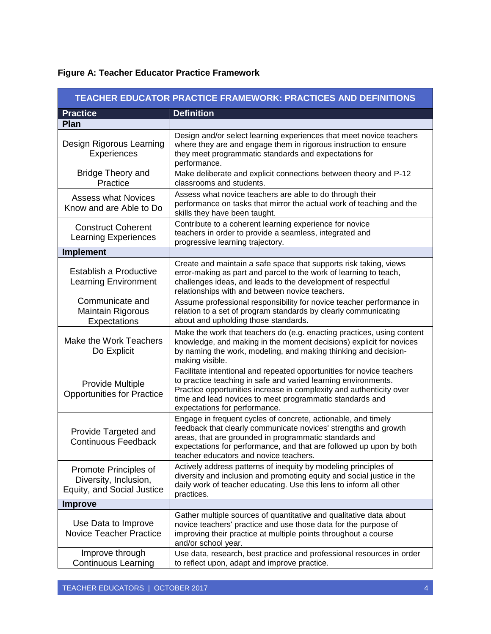|  |  | <b>Figure A: Teacher Educator Practice Framework</b> |
|--|--|------------------------------------------------------|
|  |  |                                                      |

| TEACHER EDUCATOR PRACTICE FRAMEWORK: PRACTICES AND DEFINITIONS               |                                                                                                                                                                                                                                                                                                             |  |  |  |
|------------------------------------------------------------------------------|-------------------------------------------------------------------------------------------------------------------------------------------------------------------------------------------------------------------------------------------------------------------------------------------------------------|--|--|--|
| <b>Practice</b>                                                              | <b>Definition</b>                                                                                                                                                                                                                                                                                           |  |  |  |
| Plan                                                                         |                                                                                                                                                                                                                                                                                                             |  |  |  |
| Design Rigorous Learning<br><b>Experiences</b>                               | Design and/or select learning experiences that meet novice teachers<br>where they are and engage them in rigorous instruction to ensure<br>they meet programmatic standards and expectations for<br>performance.                                                                                            |  |  |  |
| <b>Bridge Theory and</b><br>Practice                                         | Make deliberate and explicit connections between theory and P-12<br>classrooms and students.                                                                                                                                                                                                                |  |  |  |
| <b>Assess what Novices</b><br>Know and are Able to Do                        | Assess what novice teachers are able to do through their<br>performance on tasks that mirror the actual work of teaching and the<br>skills they have been taught.                                                                                                                                           |  |  |  |
| <b>Construct Coherent</b><br><b>Learning Experiences</b>                     | Contribute to a coherent learning experience for novice<br>teachers in order to provide a seamless, integrated and<br>progressive learning trajectory.                                                                                                                                                      |  |  |  |
| <b>Implement</b>                                                             |                                                                                                                                                                                                                                                                                                             |  |  |  |
| Establish a Productive<br><b>Learning Environment</b>                        | Create and maintain a safe space that supports risk taking, views<br>error-making as part and parcel to the work of learning to teach,<br>challenges ideas, and leads to the development of respectful<br>relationships with and between novice teachers.                                                   |  |  |  |
| Communicate and<br><b>Maintain Rigorous</b><br>Expectations                  | Assume professional responsibility for novice teacher performance in<br>relation to a set of program standards by clearly communicating<br>about and upholding those standards.                                                                                                                             |  |  |  |
| Make the Work Teachers<br>Do Explicit                                        | Make the work that teachers do (e.g. enacting practices, using content<br>knowledge, and making in the moment decisions) explicit for novices<br>by naming the work, modeling, and making thinking and decision-<br>making visible.                                                                         |  |  |  |
| <b>Provide Multiple</b><br><b>Opportunities for Practice</b>                 | Facilitate intentional and repeated opportunities for novice teachers<br>to practice teaching in safe and varied learning environments.<br>Practice opportunities increase in complexity and authenticity over<br>time and lead novices to meet programmatic standards and<br>expectations for performance. |  |  |  |
| Provide Targeted and<br><b>Continuous Feedback</b>                           | Engage in frequent cycles of concrete, actionable, and timely<br>feedback that clearly communicate novices' strengths and growth<br>areas, that are grounded in programmatic standards and<br>expectations for performance, and that are followed up upon by both<br>teacher educators and novice teachers. |  |  |  |
| Promote Principles of<br>Diversity, Inclusion,<br>Equity, and Social Justice | Actively address patterns of inequity by modeling principles of<br>diversity and inclusion and promoting equity and social justice in the<br>daily work of teacher educating. Use this lens to inform all other<br>practices.                                                                               |  |  |  |
| <b>Improve</b>                                                               |                                                                                                                                                                                                                                                                                                             |  |  |  |
| Use Data to Improve<br><b>Novice Teacher Practice</b>                        | Gather multiple sources of quantitative and qualitative data about<br>novice teachers' practice and use those data for the purpose of<br>improving their practice at multiple points throughout a course<br>and/or school year.                                                                             |  |  |  |
| Improve through<br><b>Continuous Learning</b>                                | Use data, research, best practice and professional resources in order<br>to reflect upon, adapt and improve practice.                                                                                                                                                                                       |  |  |  |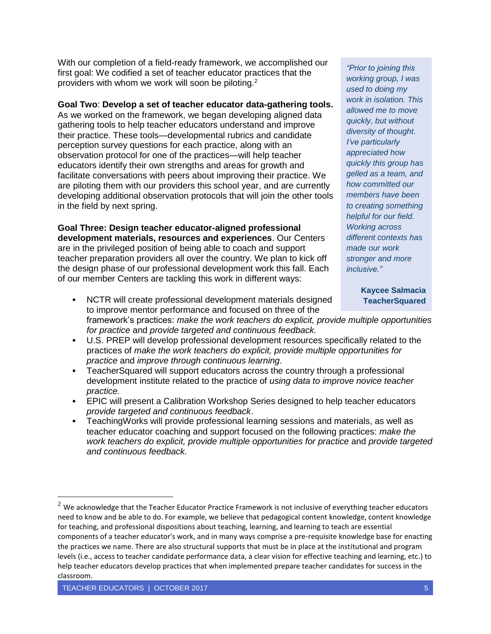With our completion of a field-ready framework, we accomplished our first goal: We codified a set of teacher educator practices that the providers with whom we work will soon be piloting.<sup>2</sup>

#### **Goal Two**: **Develop a set of teacher educator data-gathering tools.**

As we worked on the framework, we began developing aligned data gathering tools to help teacher educators understand and improve their practice. These tools—developmental rubrics and candidate perception survey questions for each practice, along with an observation protocol for one of the practices—will help teacher educators identify their own strengths and areas for growth and facilitate conversations with peers about improving their practice. We are piloting them with our providers this school year, and are currently developing additional observation protocols that will join the other tools in the field by next spring.

**Goal Three: Design teacher educator-aligned professional development materials, resources and experiences**. Our Centers are in the privileged position of being able to coach and support teacher preparation providers all over the country. We plan to kick off the design phase of our professional development work this fall. Each of our member Centers are tackling this work in different ways:

*"Prior to joining this working group, I was used to doing my work in isolation. This allowed me to move quickly, but without diversity of thought. I've particularly appreciated how quickly this group has gelled as a team, and how committed our members have been to creating something helpful for our field. Working across different contexts has made our work stronger and more inclusive."*

#### **Kaycee Salmacia TeacherSquared**

- NCTR will create professional development materials designed to improve mentor performance and focused on three of the framework's practices: *make the work teachers do explicit, provide multiple opportunities for practice* and *provide targeted and continuous feedback.*
- U.S. PREP will develop professional development resources specifically related to the practices of *make the work teachers do explicit, provide multiple opportunities for practice* and *improve through continuous learning*.
- TeacherSquared will support educators across the country through a professional development institute related to the practice of *using data to improve novice teacher practice.*
- EPIC will present a Calibration Workshop Series designed to help teacher educators *provide targeted and continuous feedback*.
- TeachingWorks will provide professional learning sessions and materials, as well as teacher educator coaching and support focused on the following practices: *make the work teachers do explicit, provide multiple opportunities for practice* and *provide targeted and continuous feedback.*

 $2$  We acknowledge that the Teacher Educator Practice Framework is not inclusive of everything teacher educators need to know and be able to do. For example, we believe that pedagogical content knowledge, content knowledge for teaching, and professional dispositions about teaching, learning, and learning to teach are essential components of a teacher educator's work, and in many ways comprise a pre-requisite knowledge base for enacting the practices we name. There are also structural supports that must be in place at the institutional and program levels (i.e., access to teacher candidate performance data, a clear vision for effective teaching and learning, etc.) to help teacher educators develop practices that when implemented prepare teacher candidates for success in the classroom.